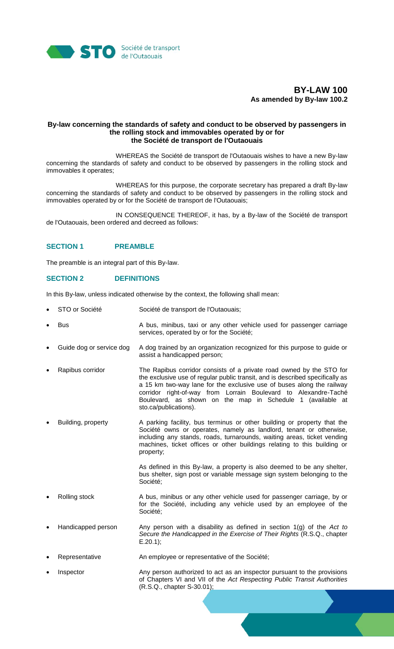

# **BY-LAW 100 As amended by By-law 100.2**

### **By-law concerning the standards of safety and conduct to be observed by passengers in the rolling stock and immovables operated by or for the Société de transport de l'Outaouais**

WHEREAS the Société de transport de l'Outaouais wishes to have a new By-law concerning the standards of safety and conduct to be observed by passengers in the rolling stock and immovables it operates;

WHEREAS for this purpose, the corporate secretary has prepared a draft By-law concerning the standards of safety and conduct to be observed by passengers in the rolling stock and immovables operated by or for the Société de transport de l'Outaouais;

IN CONSEQUENCE THEREOF, it has, by a By-law of the Société de transport de l'Outaouais, been ordered and decreed as follows:

# **SECTION 1 PREAMBLE**

The preamble is an integral part of this By-law.

# **SECTION 2 DEFINITIONS**

In this By-law, unless indicated otherwise by the context, the following shall mean:

- STO or Société Société de transport de l'Outaouais;
- Bus Bus A bus, minibus, taxi or any other vehicle used for passenger carriage services, operated by or for the Société;
- Guide dog or service dog A dog trained by an organization recognized for this purpose to guide or assist a handicapped person;
- Rapibus corridor The Rapibus corridor consists of a private road owned by the STO for the exclusive use of regular public transit, and is described specifically as a 15 km two-way lane for the exclusive use of buses along the railway corridor right-of-way from Lorrain Boulevard to Alexandre-Taché Boulevard, as shown on the map in Schedule 1 (available at sto.ca/publications).
- Building, property A parking facility, bus terminus or other building or property that the Société owns or operates, namely as landlord, tenant or otherwise, including any stands, roads, turnarounds, waiting areas, ticket vending machines, ticket offices or other buildings relating to this building or property;

As defined in this By-law, a property is also deemed to be any shelter, bus shelter, sign post or variable message sign system belonging to the Société;

- Rolling stock **A** bus, minibus or any other vehicle used for passenger carriage, by or for the Société, including any vehicle used by an employee of the Société;
- Handicapped person Any person with a disability as defined in section 1(g) of the *Act to Secure the Handicapped in the Exercise of Their Rights* (R.S.Q., chapter E.20.1);

Representative **An employee or representative of the Société**;

 Inspector Any person authorized to act as an inspector pursuant to the provisions of Chapters VI and VII of the *Act Respecting Public Transit Authorities* (R.S.Q., chapter S-30.01);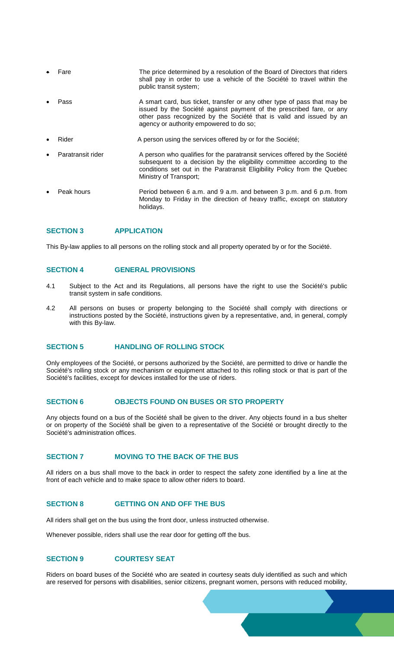|           | Fare              | The price determined by a resolution of the Board of Directors that riders<br>shall pay in order to use a vehicle of the Société to travel within the<br>public transit system;                                                                                    |
|-----------|-------------------|--------------------------------------------------------------------------------------------------------------------------------------------------------------------------------------------------------------------------------------------------------------------|
|           | Pass              | A smart card, bus ticket, transfer or any other type of pass that may be<br>issued by the Société against payment of the prescribed fare, or any<br>other pass recognized by the Société that is valid and issued by an<br>agency or authority empowered to do so; |
|           | Rider             | A person using the services offered by or for the Société;                                                                                                                                                                                                         |
| $\bullet$ | Paratransit rider | A person who qualifies for the paratransit services offered by the Société<br>subsequent to a decision by the eligibility committee according to the<br>conditions set out in the Paratransit Eligibility Policy from the Quebec<br>Ministry of Transport;         |
| $\bullet$ | Peak hours        | Period between 6 a.m. and 9 a.m. and between 3 p.m. and 6 p.m. from<br>Monday to Friday in the direction of heavy traffic, except on statutory                                                                                                                     |

# **SECTION 3 APPLICATION**

This By-law applies to all persons on the rolling stock and all property operated by or for the Société.

#### **SECTION 4 GENERAL PROVISIONS**

holidays.

- 4.1 Subject to the Act and its Regulations, all persons have the right to use the Société's public transit system in safe conditions.
- 4.2 All persons on buses or property belonging to the Société shall comply with directions or instructions posted by the Société, instructions given by a representative, and, in general, comply with this By-law.

# **SECTION 5 HANDLING OF ROLLING STOCK**

Only employees of the Société, or persons authorized by the Société, are permitted to drive or handle the Société's rolling stock or any mechanism or equipment attached to this rolling stock or that is part of the Société's facilities, except for devices installed for the use of riders.

# **SECTION 6 OBJECTS FOUND ON BUSES OR STO PROPERTY**

Any objects found on a bus of the Société shall be given to the driver. Any objects found in a bus shelter or on property of the Société shall be given to a representative of the Société or brought directly to the Société's administration offices.

#### **SECTION 7 MOVING TO THE BACK OF THE BUS**

All riders on a bus shall move to the back in order to respect the safety zone identified by a line at the front of each vehicle and to make space to allow other riders to board.

#### **SECTION 8 GETTING ON AND OFF THE BUS**

All riders shall get on the bus using the front door, unless instructed otherwise.

Whenever possible, riders shall use the rear door for getting off the bus.

# **SECTION 9 COURTESY SEAT**

Riders on board buses of the Société who are seated in courtesy seats duly identified as such and which are reserved for persons with disabilities, senior citizens, pregnant women, persons with reduced mobility,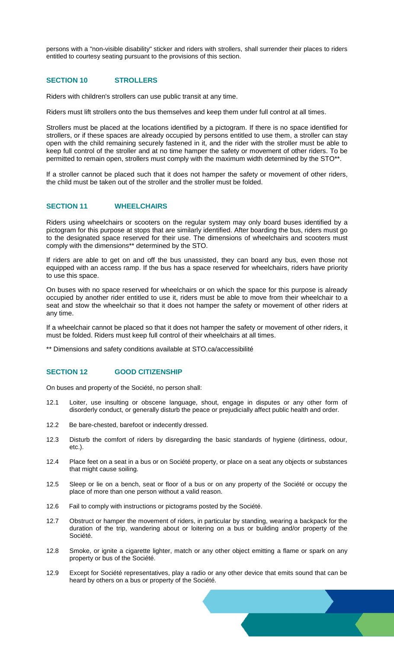persons with a "non-visible disability" sticker and riders with strollers, shall surrender their places to riders entitled to courtesy seating pursuant to the provisions of this section.

## **SECTION 10 STROLLERS**

Riders with children's strollers can use public transit at any time.

Riders must lift strollers onto the bus themselves and keep them under full control at all times.

Strollers must be placed at the locations identified by a pictogram. If there is no space identified for strollers, or if these spaces are already occupied by persons entitled to use them, a stroller can stay open with the child remaining securely fastened in it, and the rider with the stroller must be able to keep full control of the stroller and at no time hamper the safety or movement of other riders. To be permitted to remain open, strollers must comply with the maximum width determined by the STO\*\*.

If a stroller cannot be placed such that it does not hamper the safety or movement of other riders, the child must be taken out of the stroller and the stroller must be folded.

# **SECTION 11 WHEELCHAIRS**

Riders using wheelchairs or scooters on the regular system may only board buses identified by a pictogram for this purpose at stops that are similarly identified. After boarding the bus, riders must go to the designated space reserved for their use. The dimensions of wheelchairs and scooters must comply with the dimensions\*\* determined by the STO.

If riders are able to get on and off the bus unassisted, they can board any bus, even those not equipped with an access ramp. If the bus has a space reserved for wheelchairs, riders have priority to use this space.

On buses with no space reserved for wheelchairs or on which the space for this purpose is already occupied by another rider entitled to use it, riders must be able to move from their wheelchair to a seat and stow the wheelchair so that it does not hamper the safety or movement of other riders at any time.

If a wheelchair cannot be placed so that it does not hamper the safety or movement of other riders, it must be folded. Riders must keep full control of their wheelchairs at all times.

\*\* Dimensions and safety conditions available at STO.ca/accessibilité

### **SECTION 12 GOOD CITIZENSHIP**

On buses and property of the Société, no person shall:

- 12.1 Loiter, use insulting or obscene language, shout, engage in disputes or any other form of disorderly conduct, or generally disturb the peace or prejudicially affect public health and order.
- 12.2 Be bare-chested, barefoot or indecently dressed.
- 12.3 Disturb the comfort of riders by disregarding the basic standards of hygiene (dirtiness, odour, etc.).
- 12.4 Place feet on a seat in a bus or on Société property, or place on a seat any objects or substances that might cause soiling.
- 12.5 Sleep or lie on a bench, seat or floor of a bus or on any property of the Société or occupy the place of more than one person without a valid reason.
- 12.6 Fail to comply with instructions or pictograms posted by the Société.
- 12.7 Obstruct or hamper the movement of riders, in particular by standing, wearing a backpack for the duration of the trip, wandering about or loitering on a bus or building and/or property of the Société.
- 12.8 Smoke, or ignite a cigarette lighter, match or any other object emitting a flame or spark on any property or bus of the Société.
- 12.9 Except for Société representatives, play a radio or any other device that emits sound that can be heard by others on a bus or property of the Société.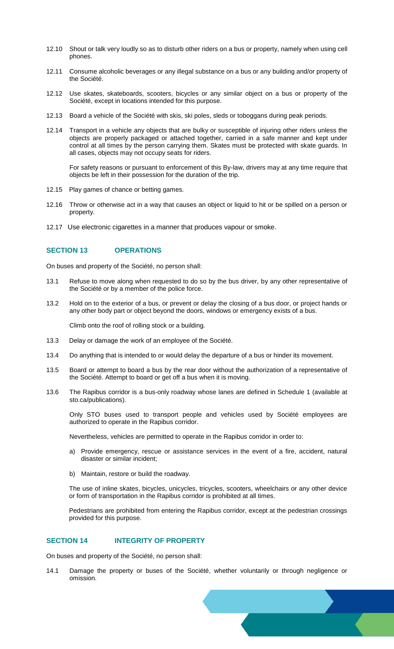- 12.10 Shout or talk very loudly so as to disturb other riders on a bus or property, namely when using cell phones.
- 12.11 Consume alcoholic beverages or any illegal substance on a bus or any building and/or property of the Société.
- 12.12 Use skates, skateboards, scooters, bicycles or any similar object on a bus or property of the Société, except in locations intended for this purpose.
- 12.13 Board a vehicle of the Société with skis, ski poles, sleds or toboggans during peak periods.
- 12.14 Transport in a vehicle any objects that are bulky or susceptible of injuring other riders unless the objects are properly packaged or attached together, carried in a safe manner and kept under control at all times by the person carrying them. Skates must be protected with skate guards. In all cases, objects may not occupy seats for riders.

For safety reasons or pursuant to enforcement of this By-law, drivers may at any time require that objects be left in their possession for the duration of the trip.

- 12.15 Play games of chance or betting games.
- 12.16 Throw or otherwise act in a way that causes an object or liquid to hit or be spilled on a person or property.
- 12.17 Use electronic cigarettes in a manner that produces vapour or smoke.

# **SECTION 13 OPERATIONS**

On buses and property of the Société, no person shall:

- 13.1 Refuse to move along when requested to do so by the bus driver, by any other representative of the Société or by a member of the police force.
- 13.2 Hold on to the exterior of a bus, or prevent or delay the closing of a bus door, or project hands or any other body part or object beyond the doors, windows or emergency exists of a bus.

Climb onto the roof of rolling stock or a building.

- 13.3 Delay or damage the work of an employee of the Société.
- 13.4 Do anything that is intended to or would delay the departure of a bus or hinder its movement.
- 13.5 Board or attempt to board a bus by the rear door without the authorization of a representative of the Société. Attempt to board or get off a bus when it is moving.
- 13.6 The Rapibus corridor is a bus-only roadway whose lanes are defined in Schedule 1 (available at sto.ca/publications).

Only STO buses used to transport people and vehicles used by Société employees are authorized to operate in the Rapibus corridor.

Nevertheless, vehicles are permitted to operate in the Rapibus corridor in order to:

- a) Provide emergency, rescue or assistance services in the event of a fire, accident, natural disaster or similar incident;
- b) Maintain, restore or build the roadway.

The use of inline skates, bicycles, unicycles, tricycles, scooters, wheelchairs or any other device or form of transportation in the Rapibus corridor is prohibited at all times.

Pedestrians are prohibited from entering the Rapibus corridor, except at the pedestrian crossings provided for this purpose.

# **SECTION 14 INTEGRITY OF PROPERTY**

On buses and property of the Société, no person shall:

14.1 Damage the property or buses of the Société, whether voluntarily or through negligence or omission.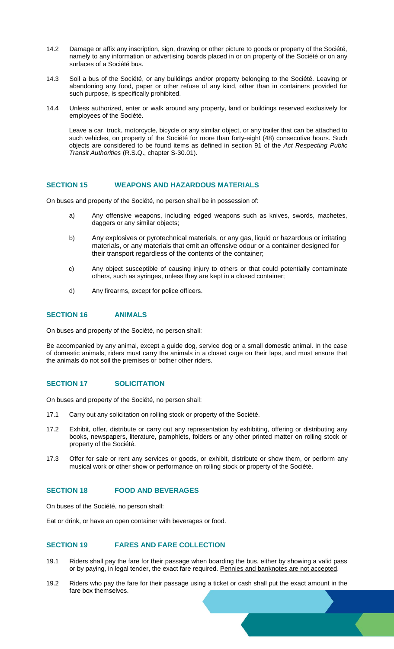- 14.2 Damage or affix any inscription, sign, drawing or other picture to goods or property of the Société, namely to any information or advertising boards placed in or on property of the Société or on any surfaces of a Société bus.
- 14.3 Soil a bus of the Société, or any buildings and/or property belonging to the Société. Leaving or abandoning any food, paper or other refuse of any kind, other than in containers provided for such purpose, is specifically prohibited.
- 14.4 Unless authorized, enter or walk around any property, land or buildings reserved exclusively for employees of the Société.

Leave a car, truck, motorcycle, bicycle or any similar object, or any trailer that can be attached to such vehicles, on property of the Société for more than forty-eight (48) consecutive hours. Such objects are considered to be found items as defined in section 91 of the *Act Respecting Public Transit Authorities* (R.S.Q., chapter S-30.01).

# **SECTION 15 WEAPONS AND HAZARDOUS MATERIALS**

On buses and property of the Société, no person shall be in possession of:

- a) Any offensive weapons, including edged weapons such as knives, swords, machetes, daggers or any similar objects;
- b) Any explosives or pyrotechnical materials, or any gas, liquid or hazardous or irritating materials, or any materials that emit an offensive odour or a container designed for their transport regardless of the contents of the container;
- c) Any object susceptible of causing injury to others or that could potentially contaminate others, such as syringes, unless they are kept in a closed container;
- d) Any firearms, except for police officers.

#### **SECTION 16 ANIMALS**

On buses and property of the Société, no person shall:

Be accompanied by any animal, except a guide dog, service dog or a small domestic animal. In the case of domestic animals, riders must carry the animals in a closed cage on their laps, and must ensure that the animals do not soil the premises or bother other riders.

# **SECTION 17 SOLICITATION**

On buses and property of the Société, no person shall:

- 17.1 Carry out any solicitation on rolling stock or property of the Société.
- 17.2 Exhibit, offer, distribute or carry out any representation by exhibiting, offering or distributing any books, newspapers, literature, pamphlets, folders or any other printed matter on rolling stock or property of the Société.
- 17.3 Offer for sale or rent any services or goods, or exhibit, distribute or show them, or perform any musical work or other show or performance on rolling stock or property of the Société.

# **SECTION 18 FOOD AND BEVERAGES**

On buses of the Société, no person shall:

Eat or drink, or have an open container with beverages or food.

# **SECTION 19 FARES AND FARE COLLECTION**

- 19.1 Riders shall pay the fare for their passage when boarding the bus, either by showing a valid pass or by paying, in legal tender, the exact fare required. Pennies and banknotes are not accepted.
- 19.2 Riders who pay the fare for their passage using a ticket or cash shall put the exact amount in the fare box themselves.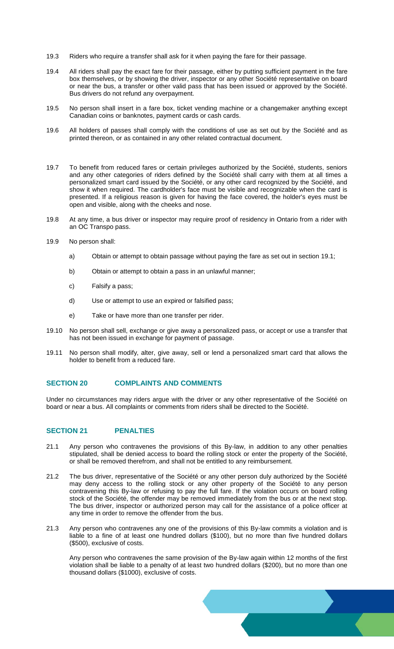- 19.3 Riders who require a transfer shall ask for it when paying the fare for their passage.
- 19.4 All riders shall pay the exact fare for their passage, either by putting sufficient payment in the fare box themselves, or by showing the driver, inspector or any other Société representative on board or near the bus, a transfer or other valid pass that has been issued or approved by the Société. Bus drivers do not refund any overpayment.
- 19.5 No person shall insert in a fare box, ticket vending machine or a changemaker anything except Canadian coins or banknotes, payment cards or cash cards.
- 19.6 All holders of passes shall comply with the conditions of use as set out by the Société and as printed thereon, or as contained in any other related contractual document.
- 19.7 To benefit from reduced fares or certain privileges authorized by the Société, students, seniors and any other categories of riders defined by the Société shall carry with them at all times a personalized smart card issued by the Société, or any other card recognized by the Société, and show it when required. The cardholder's face must be visible and recognizable when the card is presented. If a religious reason is given for having the face covered, the holder's eyes must be open and visible, along with the cheeks and nose.
- 19.8 At any time, a bus driver or inspector may require proof of residency in Ontario from a rider with an OC Transpo pass.
- 19.9 No person shall:
	- a) Obtain or attempt to obtain passage without paying the fare as set out in section 19.1;
	- b) Obtain or attempt to obtain a pass in an unlawful manner;
	- c) Falsify a pass;
	- d) Use or attempt to use an expired or falsified pass;
	- e) Take or have more than one transfer per rider.
- 19.10 No person shall sell, exchange or give away a personalized pass, or accept or use a transfer that has not been issued in exchange for payment of passage.
- 19.11 No person shall modify, alter, give away, sell or lend a personalized smart card that allows the holder to benefit from a reduced fare.

# **SECTION 20 COMPLAINTS AND COMMENTS**

Under no circumstances may riders argue with the driver or any other representative of the Société on board or near a bus. All complaints or comments from riders shall be directed to the Société.

# **SECTION 21 PENALTIES**

- 21.1 Any person who contravenes the provisions of this By-law, in addition to any other penalties stipulated, shall be denied access to board the rolling stock or enter the property of the Société, or shall be removed therefrom, and shall not be entitled to any reimbursement.
- 21.2 The bus driver, representative of the Société or any other person duly authorized by the Société may deny access to the rolling stock or any other property of the Société to any person contravening this By-law or refusing to pay the full fare. If the violation occurs on board rolling stock of the Société, the offender may be removed immediately from the bus or at the next stop. The bus driver, inspector or authorized person may call for the assistance of a police officer at any time in order to remove the offender from the bus.
- 21.3 Any person who contravenes any one of the provisions of this By-law commits a violation and is liable to a fine of at least one hundred dollars (\$100), but no more than five hundred dollars (\$500), exclusive of costs.

Any person who contravenes the same provision of the By-law again within 12 months of the first violation shall be liable to a penalty of at least two hundred dollars (\$200), but no more than one thousand dollars (\$1000), exclusive of costs.